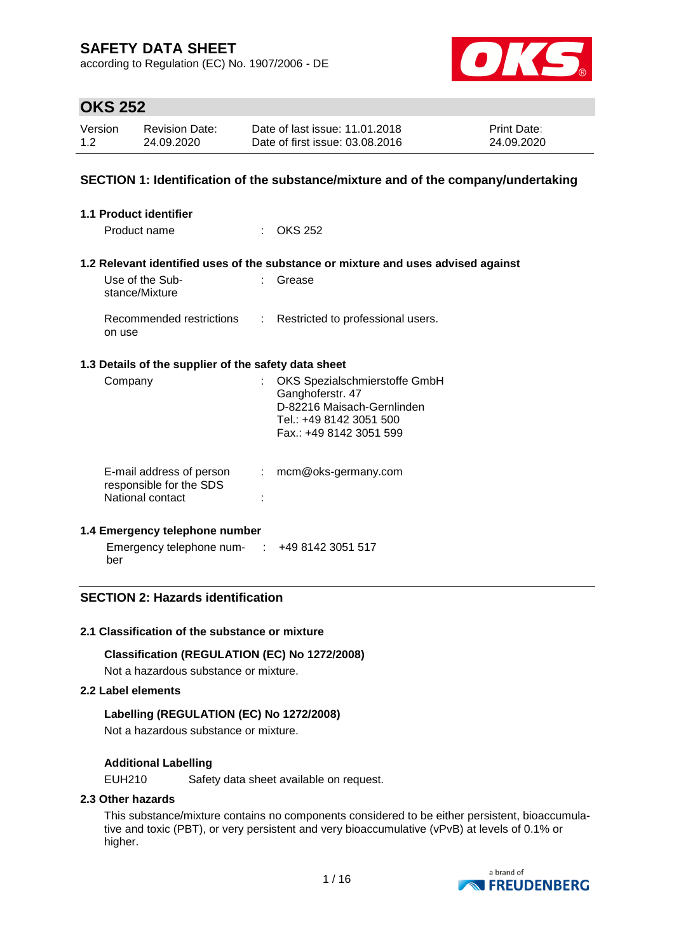according to Regulation (EC) No. 1907/2006 - DE



## **OKS 252**

| Version | <b>Revision Date:</b> | Date of last issue: 11.01.2018  | <b>Print Date:</b> |
|---------|-----------------------|---------------------------------|--------------------|
| 1.2     | 24.09.2020            | Date of first issue: 03.08.2016 | 24.09.2020         |

## **SECTION 1: Identification of the substance/mixture and of the company/undertaking**

| <b>1.1 Product identifier</b>                                           |                            |                                                                                                                                       |
|-------------------------------------------------------------------------|----------------------------|---------------------------------------------------------------------------------------------------------------------------------------|
| Product name                                                            |                            | $\therefore$ OKS 252                                                                                                                  |
|                                                                         |                            | 1.2 Relevant identified uses of the substance or mixture and uses advised against                                                     |
| Use of the Sub-<br>stance/Mixture                                       | t in                       | Grease                                                                                                                                |
| on use                                                                  |                            | Recommended restrictions : Restricted to professional users.                                                                          |
| 1.3 Details of the supplier of the safety data sheet                    |                            |                                                                                                                                       |
| Company                                                                 |                            | OKS Spezialschmierstoffe GmbH<br>Ganghoferstr. 47<br>D-82216 Maisach-Gernlinden<br>Tel.: +49 8142 3051 500<br>Fax.: +49 8142 3051 599 |
| E-mail address of person<br>responsible for the SDS<br>National contact | $\mathcal{L}^{\text{max}}$ | mcm@oks-germany.com                                                                                                                   |

### **1.4 Emergency telephone number**

Emergency telephone num-: +49 8142 3051 517 ber

## **SECTION 2: Hazards identification**

### **2.1 Classification of the substance or mixture**

**Classification (REGULATION (EC) No 1272/2008)**

Not a hazardous substance or mixture.

## **2.2 Label elements**

### **Labelling (REGULATION (EC) No 1272/2008)**

Not a hazardous substance or mixture.

### **Additional Labelling**

EUH210 Safety data sheet available on request.

### **2.3 Other hazards**

This substance/mixture contains no components considered to be either persistent, bioaccumulative and toxic (PBT), or very persistent and very bioaccumulative (vPvB) at levels of 0.1% or higher.

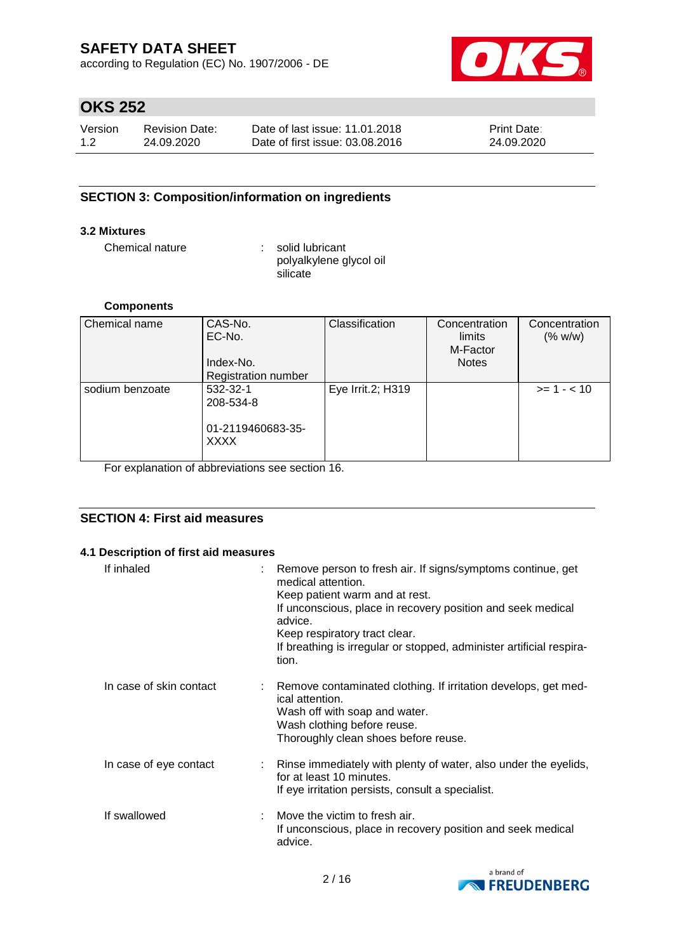according to Regulation (EC) No. 1907/2006 - DE



## **OKS 252**

| Version | <b>Revision Date:</b> | Date of last issue: 11.01.2018  | <b>Print Date:</b> |
|---------|-----------------------|---------------------------------|--------------------|
| 1.2     | 24.09.2020            | Date of first issue: 03.08.2016 | 24.09.2020         |

## **SECTION 3: Composition/information on ingredients**

## **3.2 Mixtures**

Chemical nature : solid lubricant

polyalkylene glycol oil **silicate** 

#### **Components**

| Chemical name   | CAS-No.                    | Classification    | Concentration | Concentration |
|-----------------|----------------------------|-------------------|---------------|---------------|
|                 | EC-No.                     |                   | limits        | (% w/w)       |
|                 |                            |                   | M-Factor      |               |
|                 | Index-No.                  |                   | <b>Notes</b>  |               |
|                 | <b>Registration number</b> |                   |               |               |
| sodium benzoate | 532-32-1                   | Eye Irrit.2; H319 |               | $>= 1 - < 10$ |
|                 | 208-534-8                  |                   |               |               |
|                 |                            |                   |               |               |
|                 | 01-2119460683-35-          |                   |               |               |
|                 | <b>XXXX</b>                |                   |               |               |
|                 |                            |                   |               |               |

For explanation of abbreviations see section 16.

## **SECTION 4: First aid measures**

#### **4.1 Description of first aid measures**

| If inhaled              | : Remove person to fresh air. If signs/symptoms continue, get<br>medical attention.<br>Keep patient warm and at rest.<br>If unconscious, place in recovery position and seek medical<br>advice.<br>Keep respiratory tract clear.<br>If breathing is irregular or stopped, administer artificial respira-<br>tion. |
|-------------------------|-------------------------------------------------------------------------------------------------------------------------------------------------------------------------------------------------------------------------------------------------------------------------------------------------------------------|
| In case of skin contact | : Remove contaminated clothing. If irritation develops, get med-<br>ical attention.<br>Wash off with soap and water.<br>Wash clothing before reuse.<br>Thoroughly clean shoes before reuse.                                                                                                                       |
| In case of eye contact  | : Rinse immediately with plenty of water, also under the eyelids,<br>for at least 10 minutes.<br>If eye irritation persists, consult a specialist.                                                                                                                                                                |
| If swallowed            | $\therefore$ Move the victim to fresh air.<br>If unconscious, place in recovery position and seek medical<br>advice.                                                                                                                                                                                              |

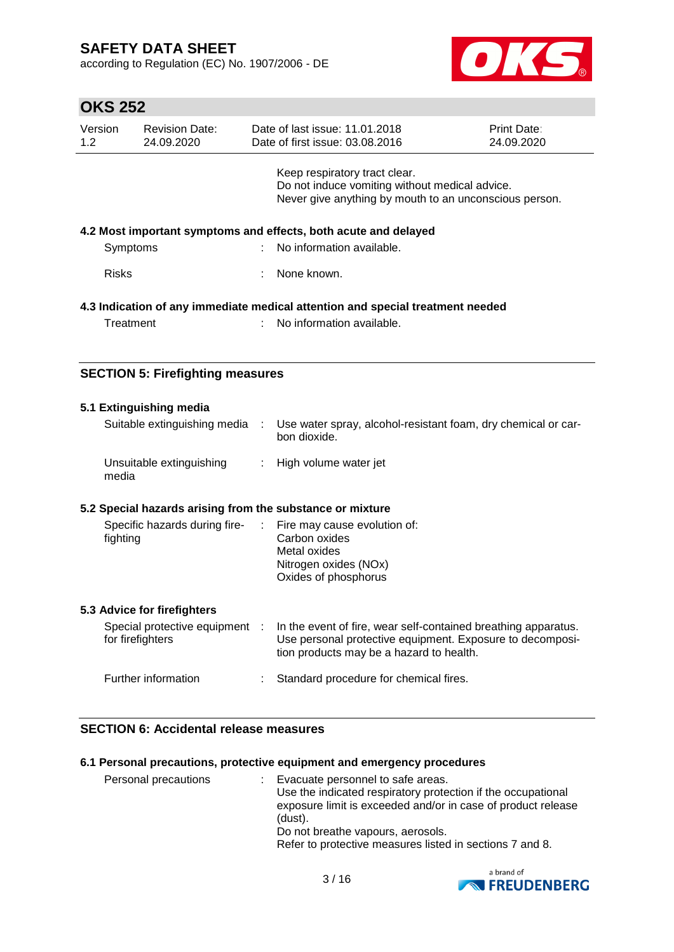according to Regulation (EC) No. 1907/2006 - DE



# **OKS 252**

| Version<br>1.2 | <b>Revision Date:</b><br>24.09.2020                             |  | Date of last issue: 11.01.2018<br>Date of first issue: 03.08.2016                                                                         | <b>Print Date:</b><br>24.09.2020 |  |
|----------------|-----------------------------------------------------------------|--|-------------------------------------------------------------------------------------------------------------------------------------------|----------------------------------|--|
|                |                                                                 |  | Keep respiratory tract clear.<br>Do not induce vomiting without medical advice.<br>Never give anything by mouth to an unconscious person. |                                  |  |
|                | 4.2 Most important symptoms and effects, both acute and delayed |  |                                                                                                                                           |                                  |  |
| Symptoms       |                                                                 |  | : No information available.                                                                                                               |                                  |  |
| <b>Risks</b>   |                                                                 |  | None known.                                                                                                                               |                                  |  |
| Treatment      |                                                                 |  | 4.3 Indication of any immediate medical attention and special treatment needed<br>No information available.                               |                                  |  |
|                |                                                                 |  |                                                                                                                                           |                                  |  |

## **SECTION 5: Firefighting measures**

|          | 5.1 Extinguishing media                                   |                                                                                                                                                                         |
|----------|-----------------------------------------------------------|-------------------------------------------------------------------------------------------------------------------------------------------------------------------------|
|          | Suitable extinguishing media :                            | Use water spray, alcohol-resistant foam, dry chemical or car-<br>bon dioxide.                                                                                           |
| media    | Unsuitable extinguishing                                  | : High volume water jet                                                                                                                                                 |
|          | 5.2 Special hazards arising from the substance or mixture |                                                                                                                                                                         |
| fighting |                                                           | Specific hazards during fire- : Fire may cause evolution of:<br>Carbon oxides<br>Metal oxides<br>Nitrogen oxides (NOx)<br>Oxides of phosphorus                          |
|          | 5.3 Advice for firefighters                               |                                                                                                                                                                         |
|          | Special protective equipment :<br>for firefighters        | In the event of fire, wear self-contained breathing apparatus.<br>Use personal protective equipment. Exposure to decomposi-<br>tion products may be a hazard to health. |
|          | Further information                                       | Standard procedure for chemical fires.                                                                                                                                  |

## **SECTION 6: Accidental release measures**

### **6.1 Personal precautions, protective equipment and emergency procedures**

| Personal precautions | ÷ | Evacuate personnel to safe areas.<br>Use the indicated respiratory protection if the occupational<br>exposure limit is exceeded and/or in case of product release<br>(dust).<br>Do not breathe vapours, aerosols.<br>Refer to protective measures listed in sections 7 and 8. |
|----------------------|---|-------------------------------------------------------------------------------------------------------------------------------------------------------------------------------------------------------------------------------------------------------------------------------|
|----------------------|---|-------------------------------------------------------------------------------------------------------------------------------------------------------------------------------------------------------------------------------------------------------------------------------|

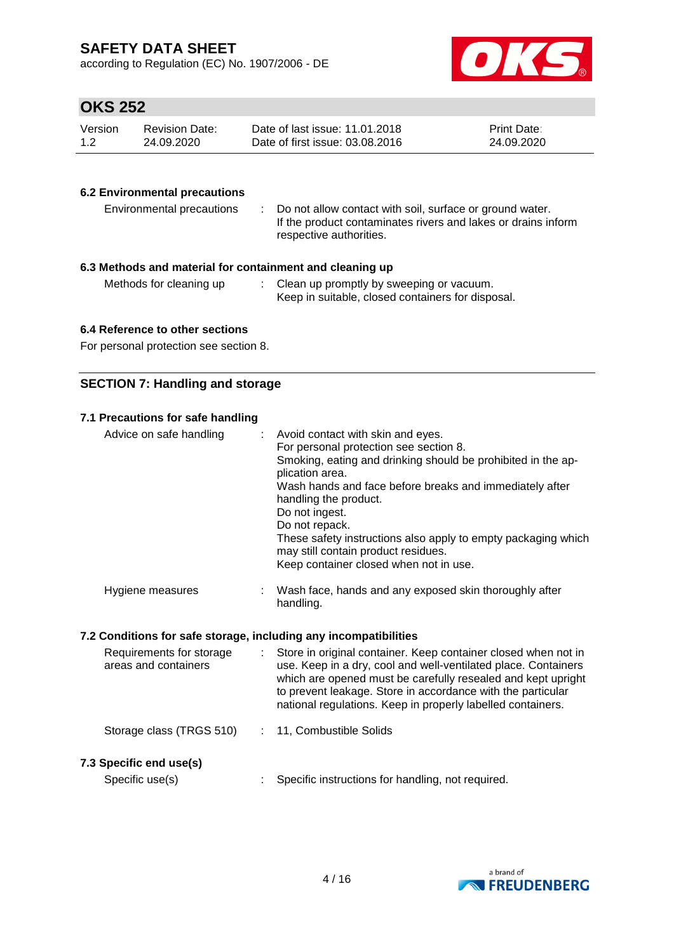according to Regulation (EC) No. 1907/2006 - DE



# **OKS 252**

| Version | Revision Date: | Date of last issue: 11.01.2018  | <b>Print Date:</b> |
|---------|----------------|---------------------------------|--------------------|
| 1.2     | 24.09.2020     | Date of first issue: 03.08.2016 | 24.09.2020         |

## **6.2 Environmental precautions**

| Environmental precautions                              | Do not allow contact with soil, surface or ground water.<br>If the product contaminates rivers and lakes or drains inform<br>respective authorities. |  |  |  |
|--------------------------------------------------------|------------------------------------------------------------------------------------------------------------------------------------------------------|--|--|--|
| 3 Mathode and material for containment and cleaning up |                                                                                                                                                      |  |  |  |

## **6.3 Methods and material for containment and cleaning up**

| Methods for cleaning up | Clean up promptly by sweeping or vacuum.          |
|-------------------------|---------------------------------------------------|
|                         | Keep in suitable, closed containers for disposal. |

### **6.4 Reference to other sections**

For personal protection see section 8.

## **SECTION 7: Handling and storage**

## **7.1 Precautions for safe handling**

| Advice on safe handling | ÷. | Avoid contact with skin and eyes.<br>For personal protection see section 8.<br>Smoking, eating and drinking should be prohibited in the ap-<br>plication area.<br>Wash hands and face before breaks and immediately after<br>handling the product.<br>Do not ingest.<br>Do not repack.<br>These safety instructions also apply to empty packaging which<br>may still contain product residues.<br>Keep container closed when not in use. |
|-------------------------|----|------------------------------------------------------------------------------------------------------------------------------------------------------------------------------------------------------------------------------------------------------------------------------------------------------------------------------------------------------------------------------------------------------------------------------------------|
| Hygiene measures        |    | Wash face, hands and any exposed skin thoroughly after<br>handling.                                                                                                                                                                                                                                                                                                                                                                      |

### **7.2 Conditions for safe storage, including any incompatibilities**

| Requirements for storage<br>areas and containers | Store in original container. Keep container closed when not in<br>use. Keep in a dry, cool and well-ventilated place. Containers<br>which are opened must be carefully resealed and kept upright<br>to prevent leakage. Store in accordance with the particular<br>national regulations. Keep in properly labelled containers. |
|--------------------------------------------------|--------------------------------------------------------------------------------------------------------------------------------------------------------------------------------------------------------------------------------------------------------------------------------------------------------------------------------|
| Storage class (TRGS 510)                         | : 11, Combustible Solids                                                                                                                                                                                                                                                                                                       |
| 7.3 Specific end use(s)<br>Specific use(s)       | Specific instructions for handling, not required.                                                                                                                                                                                                                                                                              |

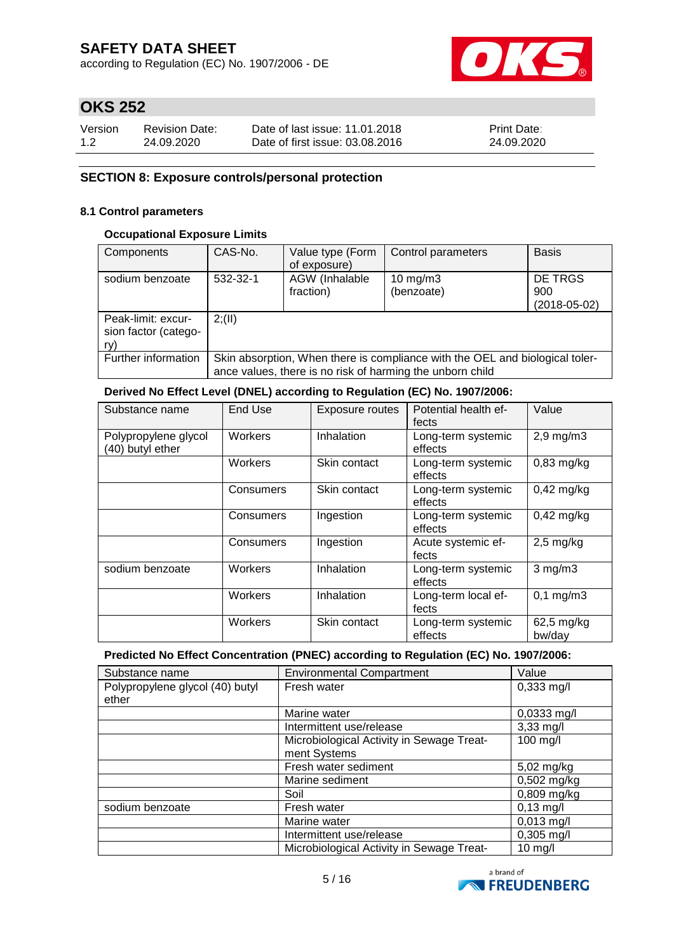according to Regulation (EC) No. 1907/2006 - DE



# **OKS 252**

| Version | <b>Revision Date:</b> | Date of last issue: 11.01.2018  | <b>Print Date:</b> |
|---------|-----------------------|---------------------------------|--------------------|
| 1.2     | 24.09.2020            | Date of first issue: 03.08.2016 | 24.09.2020         |

## **SECTION 8: Exposure controls/personal protection**

### **8.1 Control parameters**

### **Occupational Exposure Limits**

| Components                                        | CAS-No.                                                                                                                                   | Value type (Form<br>of exposure) | Control parameters       | <b>Basis</b>                         |
|---------------------------------------------------|-------------------------------------------------------------------------------------------------------------------------------------------|----------------------------------|--------------------------|--------------------------------------|
| sodium benzoate                                   | 532-32-1                                                                                                                                  | AGW (Inhalable<br>fraction)      | 10 $mg/m3$<br>(benzoate) | DE TRGS<br>900<br>$(2018 - 05 - 02)$ |
| Peak-limit: excur-<br>sion factor (catego-<br>ry) | 2(11)                                                                                                                                     |                                  |                          |                                      |
| Further information                               | Skin absorption, When there is compliance with the OEL and biological toler-<br>ance values, there is no risk of harming the unborn child |                                  |                          |                                      |

## **Derived No Effect Level (DNEL) according to Regulation (EC) No. 1907/2006:**

| Substance name                           | End Use   | <b>Exposure routes</b> | Potential health ef-<br>fects | Value                |
|------------------------------------------|-----------|------------------------|-------------------------------|----------------------|
| Polypropylene glycol<br>(40) butyl ether | Workers   | Inhalation             | Long-term systemic<br>effects | $2,9$ mg/m $3$       |
|                                          | Workers   | Skin contact           | Long-term systemic<br>effects | $0,83$ mg/kg         |
|                                          | Consumers | Skin contact           | Long-term systemic<br>effects | $0,42$ mg/kg         |
|                                          | Consumers | Ingestion              | Long-term systemic<br>effects | $0,42$ mg/kg         |
|                                          | Consumers | Ingestion              | Acute systemic ef-<br>fects   | $2,5$ mg/kg          |
| sodium benzoate                          | Workers   | Inhalation             | Long-term systemic<br>effects | $3$ mg/m $3$         |
|                                          | Workers   | Inhalation             | Long-term local ef-<br>fects  | $0,1$ mg/m $3$       |
|                                          | Workers   | Skin contact           | Long-term systemic<br>effects | 62,5 mg/kg<br>bw/day |

#### **Predicted No Effect Concentration (PNEC) according to Regulation (EC) No. 1907/2006:**

| Substance name                  | <b>Environmental Compartment</b>          | Value         |
|---------------------------------|-------------------------------------------|---------------|
| Polypropylene glycol (40) butyl | Fresh water                               | $0,333$ mg/l  |
| ether                           |                                           |               |
|                                 | Marine water                              | $0,0333$ mg/l |
|                                 | Intermittent use/release                  | $3,33$ mg/l   |
|                                 | Microbiological Activity in Sewage Treat- | 100 mg/l      |
|                                 | ment Systems                              |               |
|                                 | Fresh water sediment                      | 5,02 mg/kg    |
|                                 | Marine sediment                           | $0,502$ mg/kg |
|                                 | Soil                                      | 0,809 mg/kg   |
| sodium benzoate                 | Fresh water                               | $0,13$ mg/l   |
|                                 | Marine water                              | $0,013$ mg/l  |
|                                 | Intermittent use/release                  | $0,305$ mg/l  |
|                                 | Microbiological Activity in Sewage Treat- | $10$ mg/l     |

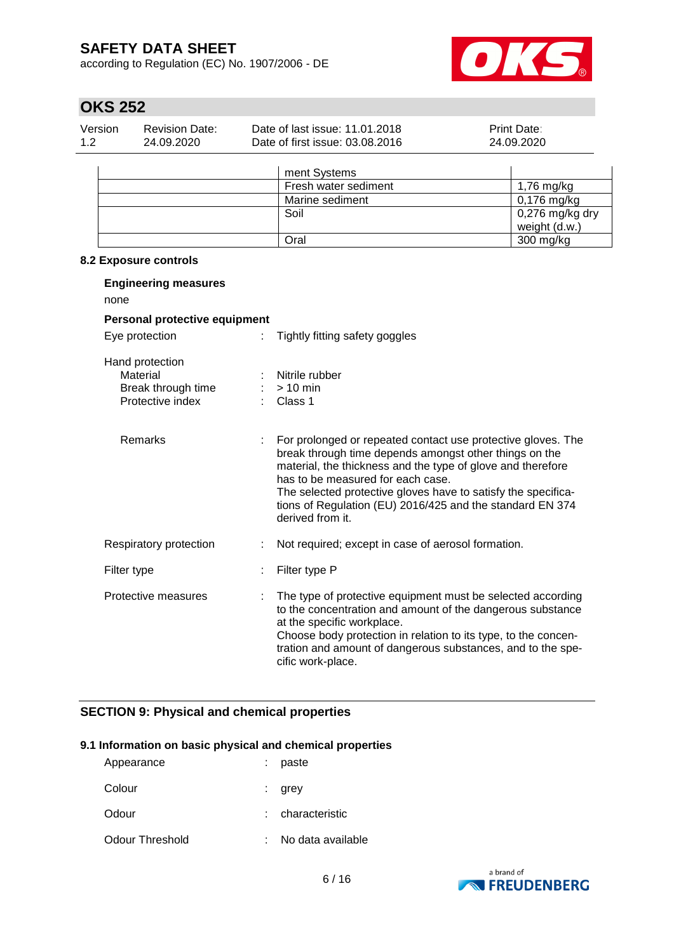according to Regulation (EC) No. 1907/2006 - DE



weight (d.w.)

# **OKS 252**

| Version<br>1.2 | <b>Revision Date:</b><br>24.09.2020 | Date of last issue: 11.01.2018<br>Date of first issue: 03.08.2016 | Print Date:<br>24.09.2020 |
|----------------|-------------------------------------|-------------------------------------------------------------------|---------------------------|
|                |                                     | ment Systems                                                      |                           |
|                |                                     | Fresh water sediment                                              | $1,76$ mg/kg              |
|                |                                     | Marine sediment                                                   | $0,176$ mg/kg             |
|                |                                     | Soil                                                              | 0,276 mg/kg dry           |

Oral 300 mg/kg

## **8.2 Exposure controls**

| <b>Engineering measures</b><br>none                                   |                           |                                                                                                                                                                                                                                                                                                                                                                              |
|-----------------------------------------------------------------------|---------------------------|------------------------------------------------------------------------------------------------------------------------------------------------------------------------------------------------------------------------------------------------------------------------------------------------------------------------------------------------------------------------------|
| Personal protective equipment                                         |                           |                                                                                                                                                                                                                                                                                                                                                                              |
| Eye protection                                                        | ÷.                        | Tightly fitting safety goggles                                                                                                                                                                                                                                                                                                                                               |
| Hand protection<br>Material<br>Break through time<br>Protective index |                           | Nitrile rubber<br>$> 10$ min<br>Class 1                                                                                                                                                                                                                                                                                                                                      |
| <b>Remarks</b>                                                        | $\mathbb{Z}^{\mathbb{Z}}$ | For prolonged or repeated contact use protective gloves. The<br>break through time depends amongst other things on the<br>material, the thickness and the type of glove and therefore<br>has to be measured for each case.<br>The selected protective gloves have to satisfy the specifica-<br>tions of Regulation (EU) 2016/425 and the standard EN 374<br>derived from it. |
| Respiratory protection                                                | ÷.                        | Not required; except in case of aerosol formation.                                                                                                                                                                                                                                                                                                                           |
| Filter type                                                           | ÷.                        | Filter type P                                                                                                                                                                                                                                                                                                                                                                |
| Protective measures                                                   | ÷.                        | The type of protective equipment must be selected according<br>to the concentration and amount of the dangerous substance<br>at the specific workplace.<br>Choose body protection in relation to its type, to the concen-<br>tration and amount of dangerous substances, and to the spe-<br>cific work-place.                                                                |

## **SECTION 9: Physical and chemical properties**

### **9.1 Information on basic physical and chemical properties**

| Appearance      | paste             |
|-----------------|-------------------|
| Colour          | grey              |
| Odour           | : characteristic  |
| Odour Threshold | No data available |

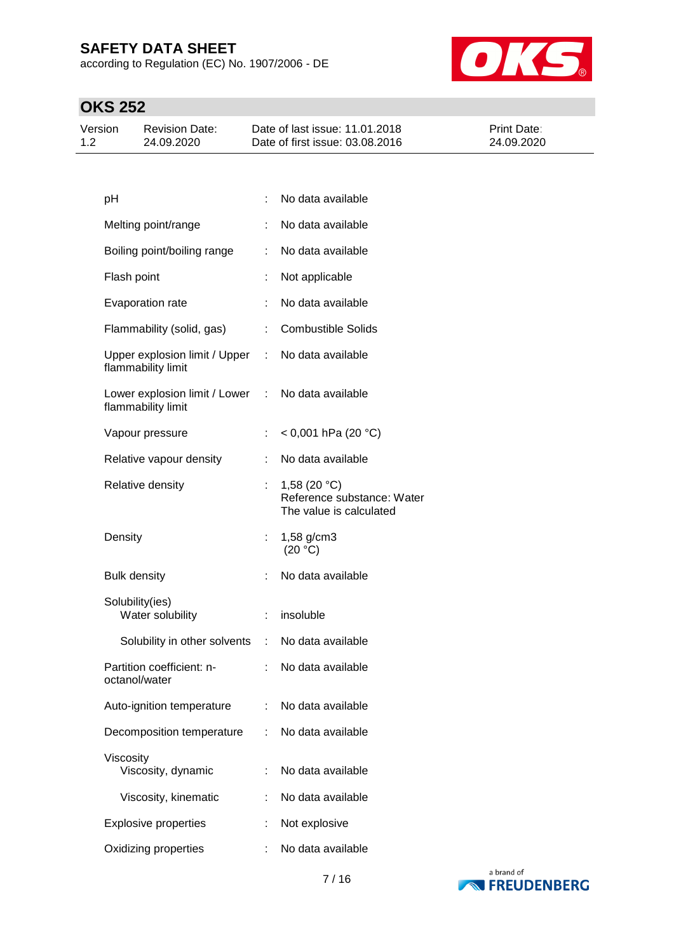according to Regulation (EC) No. 1907/2006 - DE



| Version<br><b>Revision Date:</b><br>1.2<br>24.09.2020 | Date of last issue: 11.01.2018<br>Date of first issue: 03.08.2016 | <b>Print Date:</b><br>24.09.2020 |
|-------------------------------------------------------|-------------------------------------------------------------------|----------------------------------|
|-------------------------------------------------------|-------------------------------------------------------------------|----------------------------------|

| pH                   |                                                   |                              | No data available                                                       |
|----------------------|---------------------------------------------------|------------------------------|-------------------------------------------------------------------------|
| Melting point/range  |                                                   | t.                           | No data available                                                       |
|                      | Boiling point/boiling range                       | ÷.                           | No data available                                                       |
| Flash point          |                                                   | t                            | Not applicable                                                          |
| Evaporation rate     |                                                   | ÷.                           | No data available                                                       |
|                      | Flammability (solid, gas)                         | $\mathcal{L}_{\mathrm{max}}$ | <b>Combustible Solids</b>                                               |
| flammability limit   | Upper explosion limit / Upper :                   |                              | No data available                                                       |
| flammability limit   | Lower explosion limit / Lower : No data available |                              |                                                                         |
| Vapour pressure      |                                                   | ÷.                           | $<$ 0,001 hPa (20 °C)                                                   |
|                      | Relative vapour density                           | t.                           | No data available                                                       |
| Relative density     |                                                   |                              | 1,58 $(20 °C)$<br>Reference substance: Water<br>The value is calculated |
| Density              |                                                   |                              | 1,58 g/cm3<br>(20 °C)                                                   |
| <b>Bulk density</b>  |                                                   | t.                           | No data available                                                       |
| Solubility(ies)      | Water solubility                                  | $\mathcal{L}_{\mathrm{max}}$ | insoluble                                                               |
|                      | Solubility in other solvents : No data available  |                              |                                                                         |
| octanol/water        | Partition coefficient: n-                         | $\mathbb{R}^{\mathbb{Z}}$    | No data available                                                       |
|                      | Auto-ignition temperature                         |                              | No data available                                                       |
|                      | Decomposition temperature                         | ÷                            | No data available                                                       |
| Viscosity            | Viscosity, dynamic                                | ÷                            | No data available                                                       |
|                      | Viscosity, kinematic                              | ÷                            | No data available                                                       |
|                      | <b>Explosive properties</b>                       |                              | Not explosive                                                           |
| Oxidizing properties |                                                   |                              | No data available                                                       |
|                      |                                                   |                              |                                                                         |

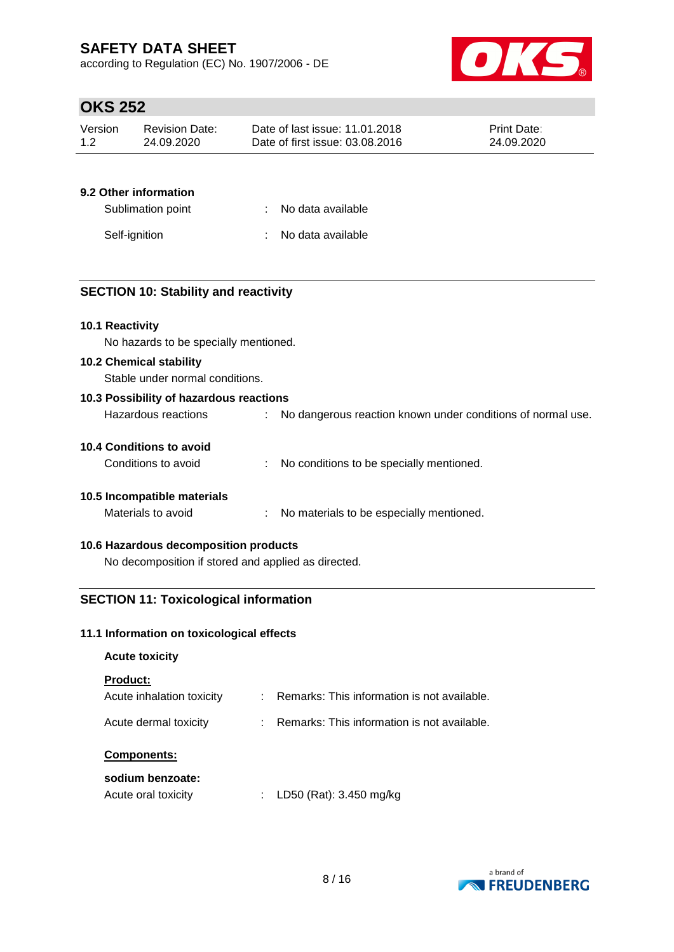according to Regulation (EC) No. 1907/2006 - DE



## **OKS 252**

| Version | <b>Revision Date:</b> | Date of last issue: 11.01.2018  | <b>Print Date:</b> |
|---------|-----------------------|---------------------------------|--------------------|
| 1.2     | 24.09.2020            | Date of first issue: 03.08.2016 | 24.09.2020         |

## **9.2 Other information**

| Sublimation point | : No data available |
|-------------------|---------------------|
| Self-ignition     | : No data available |

## **SECTION 10: Stability and reactivity**

### **10.1 Reactivity**

No hazards to be specially mentioned.

## **10.2 Chemical stability**

Stable under normal conditions.

| 10.3 Possibility of hazardous reactions |  |                                                             |  |  |  |
|-----------------------------------------|--|-------------------------------------------------------------|--|--|--|
| Hazardous reactions                     |  | No dangerous reaction known under conditions of normal use. |  |  |  |
| 10.4 Conditions to avoid                |  |                                                             |  |  |  |
| Conditions to avoid                     |  | No conditions to be specially mentioned.                    |  |  |  |
| 10.5 Incompatible materials             |  |                                                             |  |  |  |
| Materials to avoid                      |  | No materials to be especially mentioned.                    |  |  |  |

## **10.6 Hazardous decomposition products**

No decomposition if stored and applied as directed.

## **SECTION 11: Toxicological information**

### **11.1 Information on toxicological effects**

| <b>Acute toxicity</b>                        |   |                                             |
|----------------------------------------------|---|---------------------------------------------|
| <b>Product:</b><br>Acute inhalation toxicity | ÷ | Remarks: This information is not available. |
| Acute dermal toxicity                        |   | Remarks: This information is not available. |
| <b>Components:</b>                           |   |                                             |
| sodium benzoate:<br>Acute oral toxicity      |   | LD50 (Rat): 3.450 mg/kg                     |

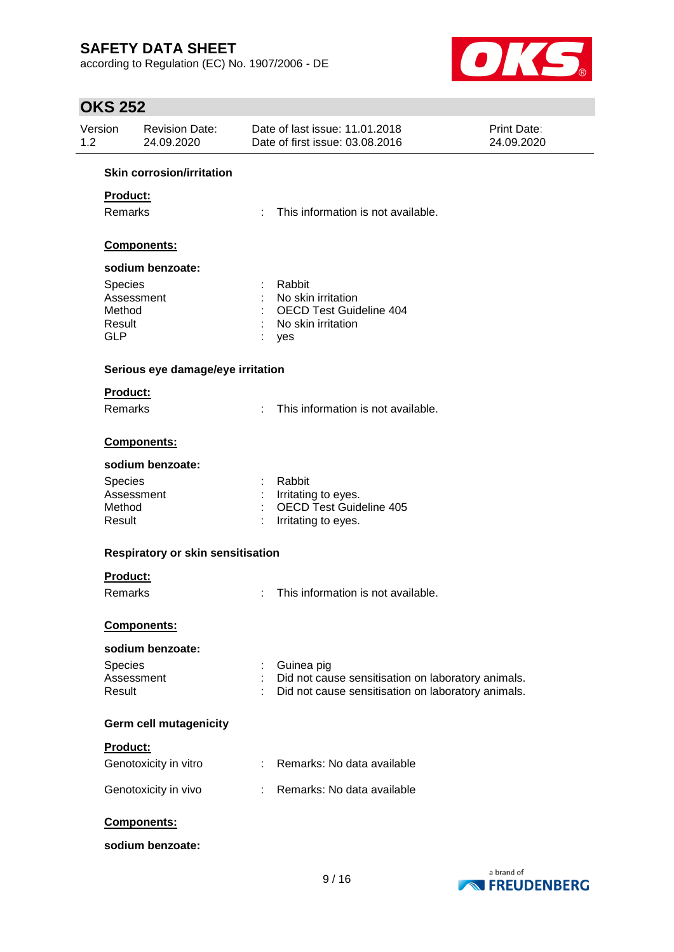according to Regulation (EC) No. 1907/2006 - DE



| Version<br>1.2       | <b>Revision Date:</b><br>24.09.2020 |    | Date of last issue: 11.01.2018<br>Date of first issue: 03.08.2016 | <b>Print Date:</b><br>24.09.2020 |
|----------------------|-------------------------------------|----|-------------------------------------------------------------------|----------------------------------|
|                      | <b>Skin corrosion/irritation</b>    |    |                                                                   |                                  |
| Product:             |                                     |    |                                                                   |                                  |
| <b>Remarks</b>       |                                     | ÷  | This information is not available.                                |                                  |
|                      |                                     |    |                                                                   |                                  |
|                      | Components:                         |    |                                                                   |                                  |
|                      | sodium benzoate:                    |    |                                                                   |                                  |
| <b>Species</b>       |                                     |    | Rabbit                                                            |                                  |
|                      | Assessment                          |    | No skin irritation                                                |                                  |
| Method               |                                     |    | <b>OECD Test Guideline 404</b>                                    |                                  |
| Result<br><b>GLP</b> |                                     |    | No skin irritation                                                |                                  |
|                      |                                     |    | yes                                                               |                                  |
|                      | Serious eye damage/eye irritation   |    |                                                                   |                                  |
| Product:             |                                     |    |                                                                   |                                  |
| <b>Remarks</b>       |                                     |    | This information is not available.                                |                                  |
|                      | Components:                         |    |                                                                   |                                  |
|                      | sodium benzoate:                    |    |                                                                   |                                  |
| Species              |                                     |    | Rabbit                                                            |                                  |
|                      | Assessment                          |    | Irritating to eyes.                                               |                                  |
| Method               |                                     |    | <b>OECD Test Guideline 405</b>                                    |                                  |
| Result               |                                     |    | Irritating to eyes.                                               |                                  |
|                      | Respiratory or skin sensitisation   |    |                                                                   |                                  |
| Product:             |                                     |    |                                                                   |                                  |
| Remarks              |                                     |    | This information is not available.                                |                                  |
|                      | Components:                         |    |                                                                   |                                  |
|                      | sodium benzoate:                    |    |                                                                   |                                  |
| Species              |                                     |    | Guinea pig                                                        |                                  |
|                      | Assessment                          |    | Did not cause sensitisation on laboratory animals.                |                                  |
| Result               |                                     |    | Did not cause sensitisation on laboratory animals.                |                                  |
|                      | <b>Germ cell mutagenicity</b>       |    |                                                                   |                                  |
| Product:             |                                     |    |                                                                   |                                  |
|                      | Genotoxicity in vitro               |    | Remarks: No data available                                        |                                  |
|                      | Genotoxicity in vivo                | ÷. | Remarks: No data available                                        |                                  |
|                      | Components:                         |    |                                                                   |                                  |
|                      | sodium benzoate:                    |    |                                                                   |                                  |

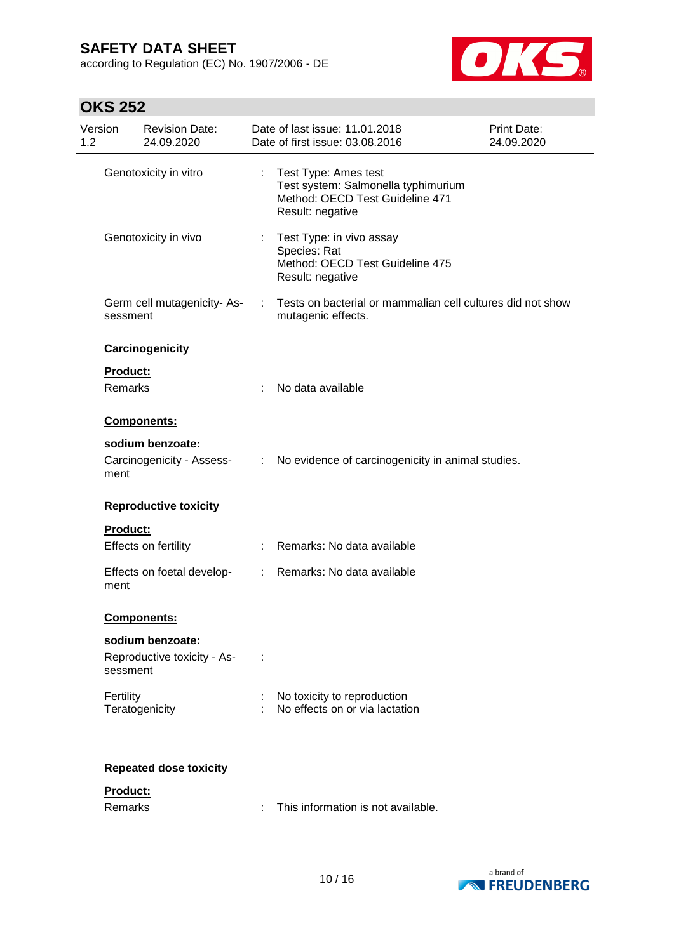according to Regulation (EC) No. 1907/2006 - DE



| Version<br>1.2 |                     | <b>Revision Date:</b><br>24.09.2020             |                               | Date of last issue: 11.01.2018<br>Date of first issue: 03.08.2016                                                    | Print Date:<br>24.09.2020 |
|----------------|---------------------|-------------------------------------------------|-------------------------------|----------------------------------------------------------------------------------------------------------------------|---------------------------|
|                |                     | Genotoxicity in vitro                           |                               | : Test Type: Ames test<br>Test system: Salmonella typhimurium<br>Method: OECD Test Guideline 471<br>Result: negative |                           |
|                |                     | Genotoxicity in vivo                            | $\mathbb{R}^{\mathbb{Z}}$     | Test Type: in vivo assay<br>Species: Rat<br>Method: OECD Test Guideline 475<br>Result: negative                      |                           |
|                | sessment            | Germ cell mutagenicity-As-                      |                               | Tests on bacterial or mammalian cell cultures did not show<br>mutagenic effects.                                     |                           |
|                |                     | Carcinogenicity                                 |                               |                                                                                                                      |                           |
|                | Product:<br>Remarks |                                                 |                               | No data available                                                                                                    |                           |
|                |                     | Components:                                     |                               |                                                                                                                      |                           |
|                | ment                | sodium benzoate:<br>Carcinogenicity - Assess-   | $\mathcal{L}^{\mathcal{L}}$ . | No evidence of carcinogenicity in animal studies.                                                                    |                           |
|                |                     | <b>Reproductive toxicity</b>                    |                               |                                                                                                                      |                           |
|                | <b>Product:</b>     | Effects on fertility                            |                               | Remarks: No data available                                                                                           |                           |
|                | ment                | Effects on foetal develop-                      | t.                            | Remarks: No data available                                                                                           |                           |
|                |                     | <b>Components:</b>                              |                               |                                                                                                                      |                           |
|                | sessment            | sodium benzoate:<br>Reproductive toxicity - As- |                               |                                                                                                                      |                           |
|                | Fertility           | Teratogenicity                                  |                               | No toxicity to reproduction<br>No effects on or via lactation                                                        |                           |
|                |                     | <b>Repeated dose toxicity</b>                   |                               |                                                                                                                      |                           |
|                | Product:<br>Remarks |                                                 |                               | This information is not available.                                                                                   |                           |

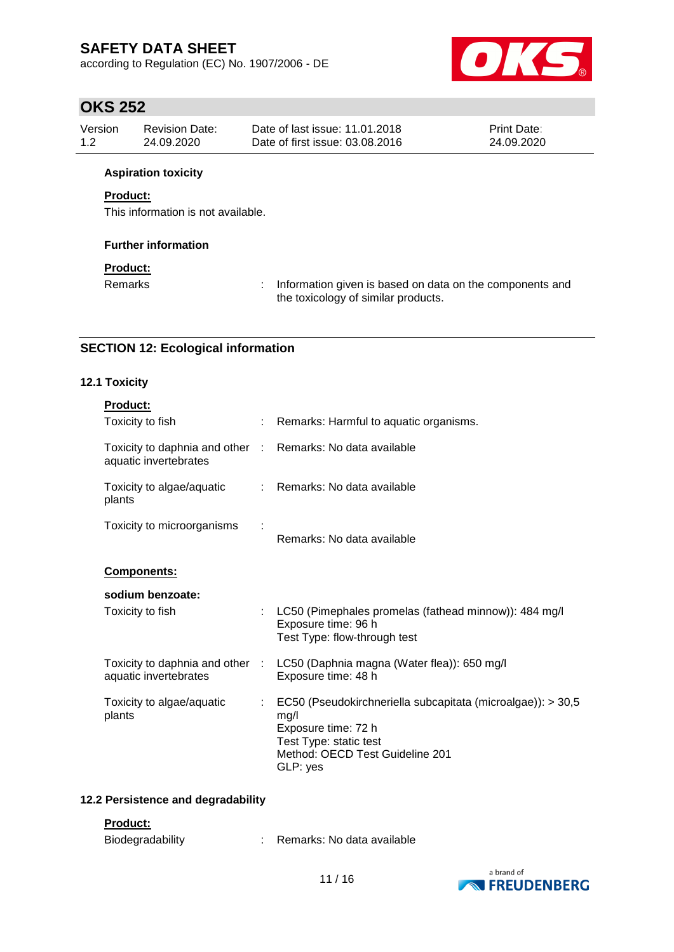according to Regulation (EC) No. 1907/2006 - DE



## **OKS 252**

| Version | Revision Date: | Date of last issue: 11.01.2018  | <b>Print Date:</b> |
|---------|----------------|---------------------------------|--------------------|
| 1.2     | 24.09.2020     | Date of first issue: 03.08.2016 | 24.09.2020         |

### **Aspiration toxicity**

## **Product:**

This information is not available.

### **Further information**

### **Product:**

Remarks : Information given is based on data on the components and the toxicology of similar products.

## **SECTION 12: Ecological information**

## **12.1 Toxicity**

| <b>Product:</b>                                                                     |                |                                                                                                                                                                     |
|-------------------------------------------------------------------------------------|----------------|---------------------------------------------------------------------------------------------------------------------------------------------------------------------|
| Toxicity to fish                                                                    |                | : Remarks: Harmful to aquatic organisms.                                                                                                                            |
| Toxicity to daphnia and other : Remarks: No data available<br>aquatic invertebrates |                |                                                                                                                                                                     |
| Toxicity to algae/aquatic<br>plants                                                 |                | : Remarks: No data available                                                                                                                                        |
| Toxicity to microorganisms                                                          |                | Remarks: No data available                                                                                                                                          |
| Components:                                                                         |                |                                                                                                                                                                     |
| sodium benzoate:                                                                    |                |                                                                                                                                                                     |
| Toxicity to fish                                                                    |                | : LC50 (Pimephales promelas (fathead minnow)): 484 mg/l<br>Exposure time: 96 h<br>Test Type: flow-through test                                                      |
| aquatic invertebrates                                                               |                | Toxicity to daphnia and other : LC50 (Daphnia magna (Water flea)): 650 mg/l<br>Exposure time: 48 h                                                                  |
| Toxicity to algae/aquatic<br>plants                                                 | $\mathbb{R}^n$ | EC50 (Pseudokirchneriella subcapitata (microalgae)): > 30,5<br>mg/l<br>Exposure time: 72 h<br>Test Type: static test<br>Method: OECD Test Guideline 201<br>GLP: yes |

## **12.2 Persistence and degradability**

### **Product:**

| Biodegradability |  | Remarks: No data available |
|------------------|--|----------------------------|
|------------------|--|----------------------------|

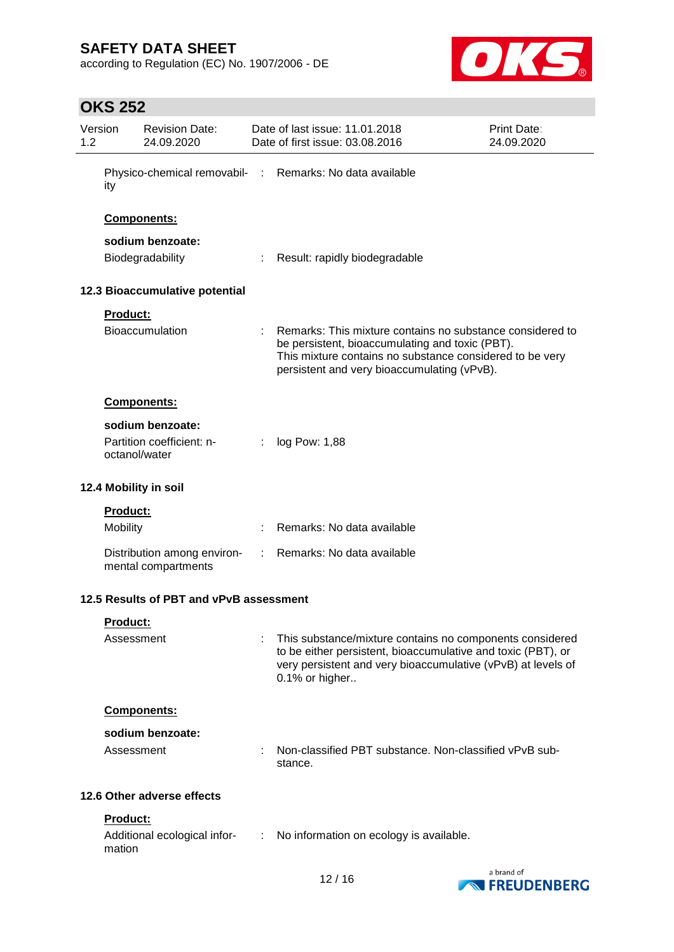according to Regulation (EC) No. 1907/2006 - DE



| 1.2 | Version                     | <b>Revision Date:</b><br>24.09.2020                |   | Date of last issue: 11.01.2018<br>Date of first issue: 03.08.2016                                                                                                                                                       | <b>Print Date:</b><br>24.09.2020 |
|-----|-----------------------------|----------------------------------------------------|---|-------------------------------------------------------------------------------------------------------------------------------------------------------------------------------------------------------------------------|----------------------------------|
|     | ity                         |                                                    |   | Physico-chemical removabil- : Remarks: No data available                                                                                                                                                                |                                  |
|     |                             | Components:                                        |   |                                                                                                                                                                                                                         |                                  |
|     |                             | sodium benzoate:                                   |   |                                                                                                                                                                                                                         |                                  |
|     |                             | Biodegradability                                   |   | : Result: rapidly biodegradable                                                                                                                                                                                         |                                  |
|     |                             | 12.3 Bioaccumulative potential                     |   |                                                                                                                                                                                                                         |                                  |
|     | Product:                    |                                                    |   |                                                                                                                                                                                                                         |                                  |
|     |                             | <b>Bioaccumulation</b>                             |   | Remarks: This mixture contains no substance considered to<br>be persistent, bioaccumulating and toxic (PBT).<br>This mixture contains no substance considered to be very<br>persistent and very bioaccumulating (vPvB). |                                  |
|     |                             | Components:                                        |   |                                                                                                                                                                                                                         |                                  |
|     |                             | sodium benzoate:                                   |   |                                                                                                                                                                                                                         |                                  |
|     |                             | Partition coefficient: n-<br>octanol/water         | ÷ | log Pow: 1,88                                                                                                                                                                                                           |                                  |
|     | 12.4 Mobility in soil       |                                                    |   |                                                                                                                                                                                                                         |                                  |
|     | Product:<br><b>Mobility</b> |                                                    |   | Remarks: No data available                                                                                                                                                                                              |                                  |
|     |                             | Distribution among environ-<br>mental compartments |   | Remarks: No data available                                                                                                                                                                                              |                                  |
|     |                             | 12.5 Results of PBT and vPvB assessment            |   |                                                                                                                                                                                                                         |                                  |
|     | Product:                    |                                                    |   |                                                                                                                                                                                                                         |                                  |
|     | Assessment                  |                                                    |   | This substance/mixture contains no components considered<br>to be either persistent, bioaccumulative and toxic (PBT), or<br>very persistent and very bioaccumulative (vPvB) at levels of<br>0.1% or higher              |                                  |
|     |                             | Components:                                        |   |                                                                                                                                                                                                                         |                                  |
|     |                             | sodium benzoate:                                   |   |                                                                                                                                                                                                                         |                                  |
|     | Assessment                  |                                                    |   | Non-classified PBT substance. Non-classified vPvB sub-<br>stance.                                                                                                                                                       |                                  |
|     |                             | 12.6 Other adverse effects                         |   |                                                                                                                                                                                                                         |                                  |
|     | Product:<br>mation          | Additional ecological infor-                       | ÷ | No information on ecology is available.                                                                                                                                                                                 |                                  |
|     |                             |                                                    |   |                                                                                                                                                                                                                         |                                  |

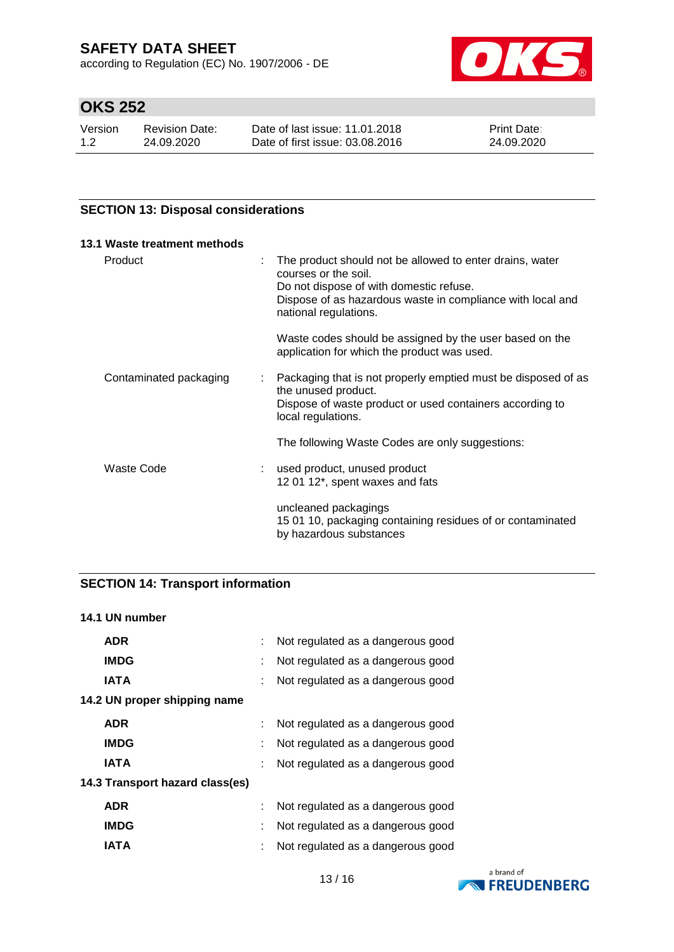according to Regulation (EC) No. 1907/2006 - DE



# **OKS 252**

| Version | Revision Date: | Date of last issue: 11.01.2018  | <b>Print Date:</b> |
|---------|----------------|---------------------------------|--------------------|
| 1.2     | 24.09.2020     | Date of first issue: 03.08.2016 | 24.09.2020         |

### **SECTION 13: Disposal considerations**

| 13.1 Waste treatment methods |                                                                                                                                                                                                                    |
|------------------------------|--------------------------------------------------------------------------------------------------------------------------------------------------------------------------------------------------------------------|
| Product                      | The product should not be allowed to enter drains, water<br>courses or the soil.<br>Do not dispose of with domestic refuse.<br>Dispose of as hazardous waste in compliance with local and<br>national regulations. |
|                              | Waste codes should be assigned by the user based on the<br>application for which the product was used.                                                                                                             |
| Contaminated packaging       | : Packaging that is not properly emptied must be disposed of as<br>the unused product.<br>Dispose of waste product or used containers according to<br>local regulations.                                           |
|                              | The following Waste Codes are only suggestions:                                                                                                                                                                    |
| Waste Code                   | used product, unused product<br>12 01 12*, spent waxes and fats                                                                                                                                                    |
|                              | uncleaned packagings<br>15 01 10, packaging containing residues of or contaminated<br>by hazardous substances                                                                                                      |

## **SECTION 14: Transport information**

## **14.1 UN number**

| <b>ADR</b>                      | ÷ | Not regulated as a dangerous good |
|---------------------------------|---|-----------------------------------|
| <b>IMDG</b>                     | t | Not regulated as a dangerous good |
| <b>IATA</b>                     |   | Not regulated as a dangerous good |
| 14.2 UN proper shipping name    |   |                                   |
| <b>ADR</b>                      |   | Not regulated as a dangerous good |
| <b>IMDG</b>                     | ÷ | Not regulated as a dangerous good |
| <b>IATA</b>                     | ÷ | Not regulated as a dangerous good |
| 14.3 Transport hazard class(es) |   |                                   |
| <b>ADR</b>                      |   | Not regulated as a dangerous good |
| <b>IMDG</b>                     | ÷ | Not regulated as a dangerous good |
| IATA                            |   | Not regulated as a dangerous good |

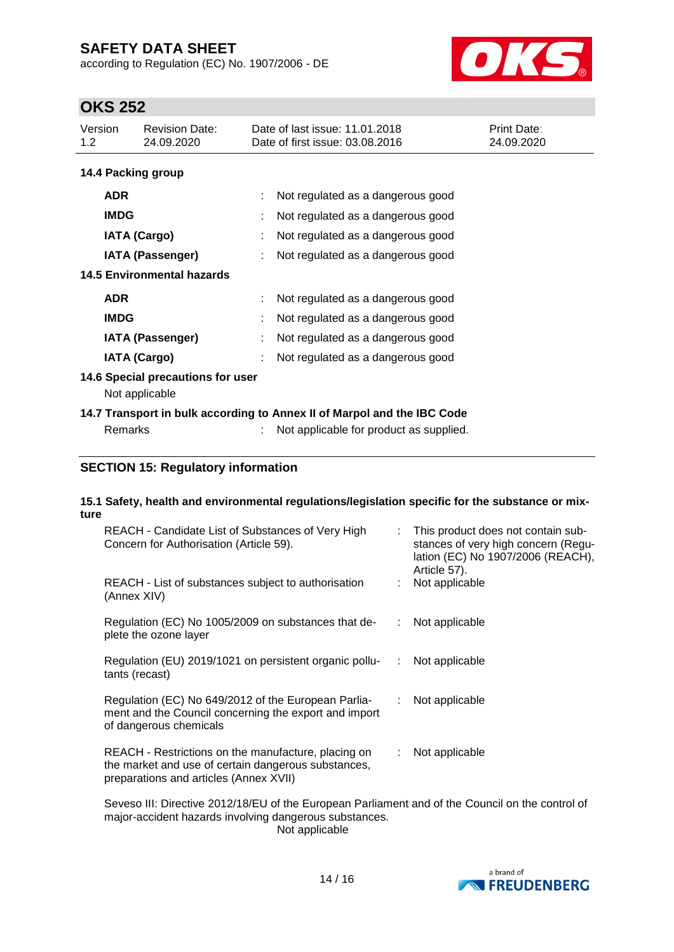according to Regulation (EC) No. 1907/2006 - DE



# **OKS 252**

| Version<br>1.2                    | <b>Revision Date:</b><br>24.09.2020                 | Date of last issue: 11.01.2018<br>Print Date:<br>Date of first issue: 03.08.2016<br>24.09.2020 |  |
|-----------------------------------|-----------------------------------------------------|------------------------------------------------------------------------------------------------|--|
| 14.4 Packing group                |                                                     |                                                                                                |  |
| <b>ADR</b>                        |                                                     | Not regulated as a dangerous good                                                              |  |
| <b>IMDG</b>                       |                                                     | Not regulated as a dangerous good                                                              |  |
|                                   | <b>IATA (Cargo)</b>                                 | Not regulated as a dangerous good                                                              |  |
|                                   | <b>IATA (Passenger)</b>                             | Not regulated as a dangerous good                                                              |  |
| <b>14.5 Environmental hazards</b> |                                                     |                                                                                                |  |
| <b>ADR</b>                        |                                                     | Not regulated as a dangerous good                                                              |  |
| <b>IMDG</b>                       |                                                     | Not regulated as a dangerous good                                                              |  |
|                                   | <b>IATA (Passenger)</b>                             | Not regulated as a dangerous good                                                              |  |
|                                   | <b>IATA (Cargo)</b>                                 | Not regulated as a dangerous good                                                              |  |
|                                   | 14.6 Special precautions for user<br>Not applicable |                                                                                                |  |
|                                   |                                                     | 14.7 Transport in bulk according to Annex II of Marpol and the IBC Code                        |  |
| Remarks                           |                                                     | Not applicable for product as supplied.                                                        |  |

## **SECTION 15: Regulatory information**

#### **15.1 Safety, health and environmental regulations/legislation specific for the substance or mixture**

| REACH - Candidate List of Substances of Very High<br>Concern for Authorisation (Article 59).                                                         |    | : This product does not contain sub-<br>stances of very high concern (Regu-<br>lation (EC) No 1907/2006 (REACH),<br>Article 57). |
|------------------------------------------------------------------------------------------------------------------------------------------------------|----|----------------------------------------------------------------------------------------------------------------------------------|
| REACH - List of substances subject to authorisation<br>(Annex XIV)                                                                                   |    | Not applicable                                                                                                                   |
| Regulation (EC) No 1005/2009 on substances that de-<br>plete the ozone layer                                                                         | ÷. | Not applicable                                                                                                                   |
| Regulation (EU) 2019/1021 on persistent organic pollu-<br>tants (recast)                                                                             | ÷  | Not applicable                                                                                                                   |
| Regulation (EC) No 649/2012 of the European Parlia-<br>ment and the Council concerning the export and import<br>of dangerous chemicals               |    | Not applicable                                                                                                                   |
| REACH - Restrictions on the manufacture, placing on<br>the market and use of certain dangerous substances,<br>preparations and articles (Annex XVII) |    | Not applicable                                                                                                                   |

Seveso III: Directive 2012/18/EU of the European Parliament and of the Council on the control of major-accident hazards involving dangerous substances. Not applicable

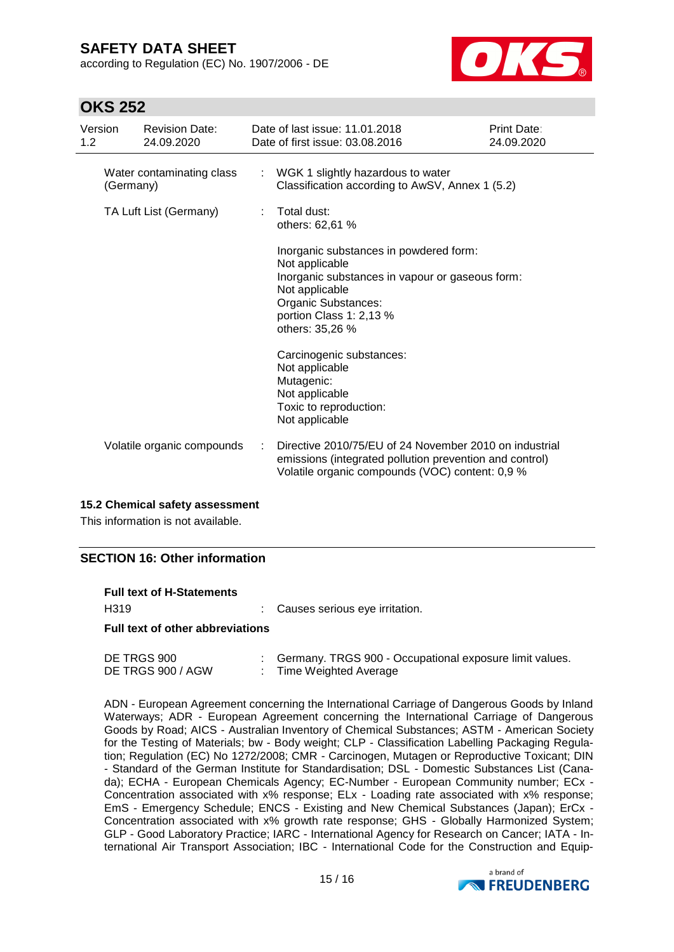according to Regulation (EC) No. 1907/2006 - DE



## **OKS 252**

| Version<br>1.2                         |  | <b>Revision Date:</b><br>24.09.2020                                                    | Date of last issue: 11.01.2018<br>Date of first issue: 03.08.2016                                                                                                                                  | Print Date:<br>24.09.2020 |
|----------------------------------------|--|----------------------------------------------------------------------------------------|----------------------------------------------------------------------------------------------------------------------------------------------------------------------------------------------------|---------------------------|
| Water contaminating class<br>(Germany) |  | : WGK 1 slightly hazardous to water<br>Classification according to AwSV, Annex 1 (5.2) |                                                                                                                                                                                                    |                           |
| TA Luft List (Germany)                 |  | Total dust:<br>others: 62,61 %                                                         |                                                                                                                                                                                                    |                           |
|                                        |  |                                                                                        | Inorganic substances in powdered form:<br>Not applicable<br>Inorganic substances in vapour or gaseous form:<br>Not applicable<br>Organic Substances:<br>portion Class 1: 2,13 %<br>others: 35,26 % |                           |
|                                        |  |                                                                                        | Carcinogenic substances:<br>Not applicable<br>Mutagenic:<br>Not applicable<br>Toxic to reproduction:<br>Not applicable                                                                             |                           |
|                                        |  | Volatile organic compounds                                                             | Directive 2010/75/EU of 24 November 2010 on industrial<br>emissions (integrated pollution prevention and control)<br>Volatile organic compounds (VOC) content: 0,9 %                               |                           |

### **15.2 Chemical safety assessment**

This information is not available.

### **SECTION 16: Other information**

| <b>Full text of H-Statements</b>        |  |                                  |  |  |  |  |
|-----------------------------------------|--|----------------------------------|--|--|--|--|
| H319                                    |  | : Causes serious eye irritation. |  |  |  |  |
| <b>Full text of other abbreviations</b> |  |                                  |  |  |  |  |

| DE TRGS 900       | Germany. TRGS 900 - Occupational exposure limit values. |
|-------------------|---------------------------------------------------------|
| DE TRGS 900 / AGW | Time Weighted Average                                   |

ADN - European Agreement concerning the International Carriage of Dangerous Goods by Inland Waterways; ADR - European Agreement concerning the International Carriage of Dangerous Goods by Road; AICS - Australian Inventory of Chemical Substances; ASTM - American Society for the Testing of Materials; bw - Body weight; CLP - Classification Labelling Packaging Regulation; Regulation (EC) No 1272/2008; CMR - Carcinogen, Mutagen or Reproductive Toxicant; DIN - Standard of the German Institute for Standardisation; DSL - Domestic Substances List (Canada); ECHA - European Chemicals Agency; EC-Number - European Community number; ECx - Concentration associated with x% response; ELx - Loading rate associated with x% response; EmS - Emergency Schedule; ENCS - Existing and New Chemical Substances (Japan); ErCx - Concentration associated with x% growth rate response; GHS - Globally Harmonized System; GLP - Good Laboratory Practice; IARC - International Agency for Research on Cancer; IATA - International Air Transport Association; IBC - International Code for the Construction and Equip-